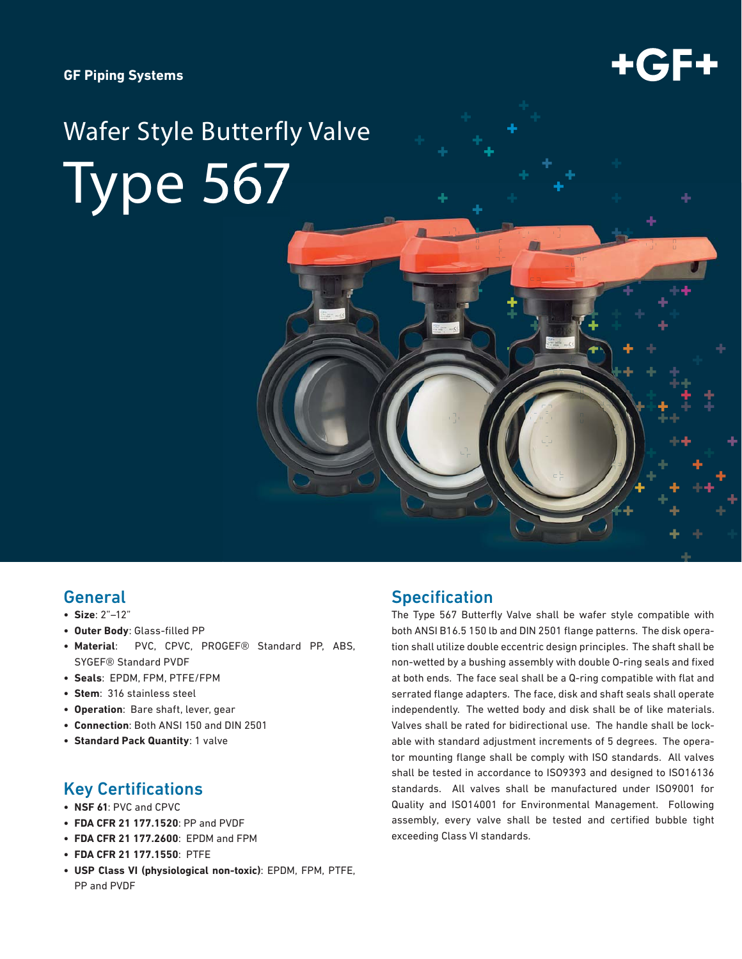

# Wafer Style Butterfly Valve Type 567

# General

- **Size**: 2"–12"
- **Outer Body: Glass-filled PP**
- **Material**: PVC, CPVC, PROGEF® Standard PP, ABS, SYGEF® Standard PVDF
- **Seals**: EPDM, FPM, PTFE/FPM
- **Stem**: 316 stainless steel
- **Operation**: Bare shaft, lever, gear
- **Connection**: Both ANSI 150 and DIN 2501
- **Standard Pack Quantity**: 1 valve

## **Key Certifications**

- **NSF 61**: PVC and CPVC
- **FDA CFR 21 177.1520**: PP and PVDF
- **FDA CFR 21 177.2600**: EPDM and FPM
- **FDA CFR 21 177.1550**: PTFE
- **USP Class VI (physiological non-toxic)**: EPDM, FPM, PTFE, PP and PVDF

# **Specification**

The Type 567 Butterfly Valve shall be wafer style compatible with both ANSI B16.5 150 lb and DIN 2501 flange patterns. The disk operation shall utilize double eccentric design principles. The shaft shall be non-wetted by a bushing assembly with double O-ring seals and fixed at both ends. The face seal shall be a Q-ring compatible with flat and serrated flange adapters. The face, disk and shaft seals shall operate independently. The wetted body and disk shall be of like materials. Valves shall be rated for bidirectional use. The handle shall be lockable with standard adjustment increments of 5 degrees. The operator mounting flange shall be comply with ISO standards. All valves shall be tested in accordance to ISO9393 and designed to ISO16136 standards. All valves shall be manufactured under ISO9001 for Quality and ISO14001 for Environmental Management. Following assembly, every valve shall be tested and certified bubble tight exceeding Class VI standards.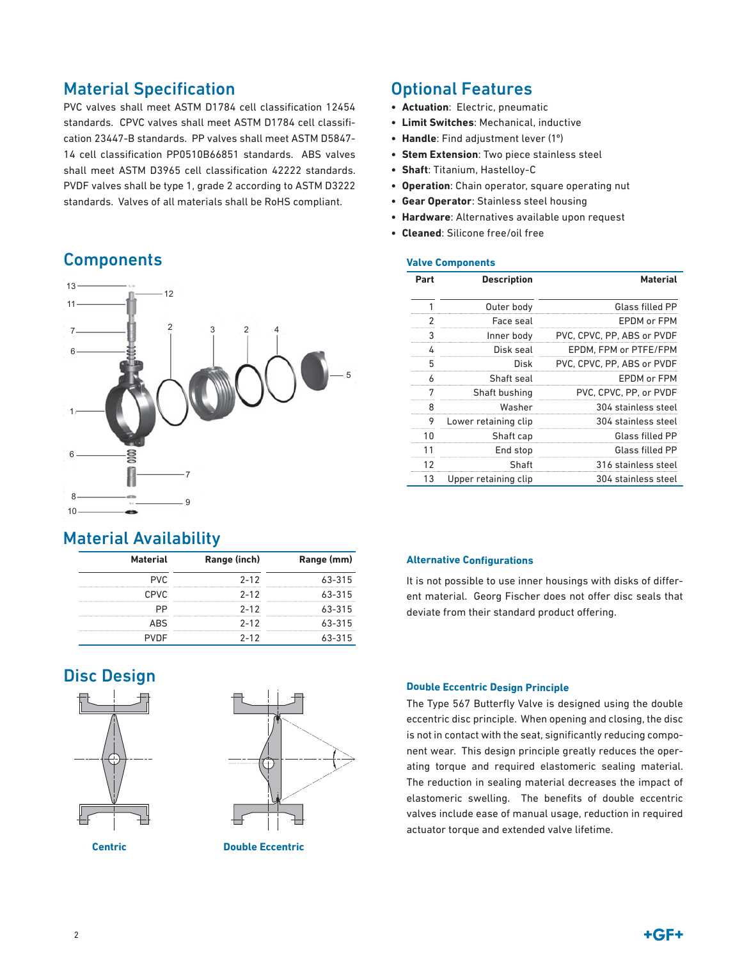# **Material Specification**

PVC valves shall meet ASTM D1784 cell classification 12454 standards. CPVC valves shall meet ASTM D1784 cell classification 23447-B standards. PP valves shall meet ASTM D5847- 14 cell classification PP0510B66851 standards. ABS valves shall meet ASTM D3965 cell classification 42222 standards. PVDF valves shall be type 1, grade 2 according to ASTM D3222 standards. Valves of all materials shall be RoHS compliant.

# **Components**



# Material Availability

| <b>Material</b> | Range (inch) | Range (mm) |  |  |
|-----------------|--------------|------------|--|--|
| ÞVC             | $2 - 12$     | 63-315     |  |  |
| CPVC.           | $2 - 12$     | $63 - 315$ |  |  |
|                 | $2 - 12$     | $63 - 315$ |  |  |
|                 | $2 - 12$     | 63-315     |  |  |
|                 | $2 - 12$     | 63-315     |  |  |

# Disc Design





# Optional Features

- **Actuation**: Electric, pneumatic
- **Limit Switches**: Mechanical, inductive
- **Handle**: Find adjustment lever (1º)
- **Stem Extension**: Two piece stainless steel
- **Shaft**: Titanium, Hastelloy-C
- **Operation**: Chain operator, square operating nut
- **Gear Operator**: Stainless steel housing
- **Hardware**: Alternatives available upon request
- **Cleaned**: Silicone free/oil free

### **Valve Components**

| Part | <b>Description</b>   | <b>Material</b>            |
|------|----------------------|----------------------------|
| 1    | Outer body           | Glass filled PP            |
| 2    | Face seal            | FPDM or FPM                |
| 3    | Inner body           | PVC, CPVC, PP, ABS or PVDF |
| 4    | Disk seal            | EPDM, FPM or PTFE/FPM      |
| 5    | Disk                 | PVC, CPVC, PP, ABS or PVDF |
| 6    | Shaft seal           | EPDM or FPM                |
| 7    | Shaft bushing        | PVC, CPVC, PP, or PVDF     |
| 8    | Washer               | 304 stainless steel        |
| 9    | Lower retaining clip | 304 stainless steel        |
| 10   | Shaft cap            | Glass filled PP            |
| 11   | End stop             | Glass filled PP            |
| 12   | Shaft                | 316 stainless steel        |
| 13   | Upper retaining clip | 304 stainless steel        |

### **Alternative Configurations**

It is not possible to use inner housings with disks of different material. Georg Fischer does not offer disc seals that deviate from their standard product offering.

### **Double Eccentric Design Principle**

The Type 567 Butterfly Valve is designed using the double eccentric disc principle. When opening and closing, the disc is not in contact with the seat, significantly reducing component wear. This design principle greatly reduces the operating torque and required elastomeric sealing material. The reduction in sealing material decreases the impact of elastomeric swelling. The benefits of double eccentric valves include ease of manual usage, reduction in required actuator torque and extended valve lifetime.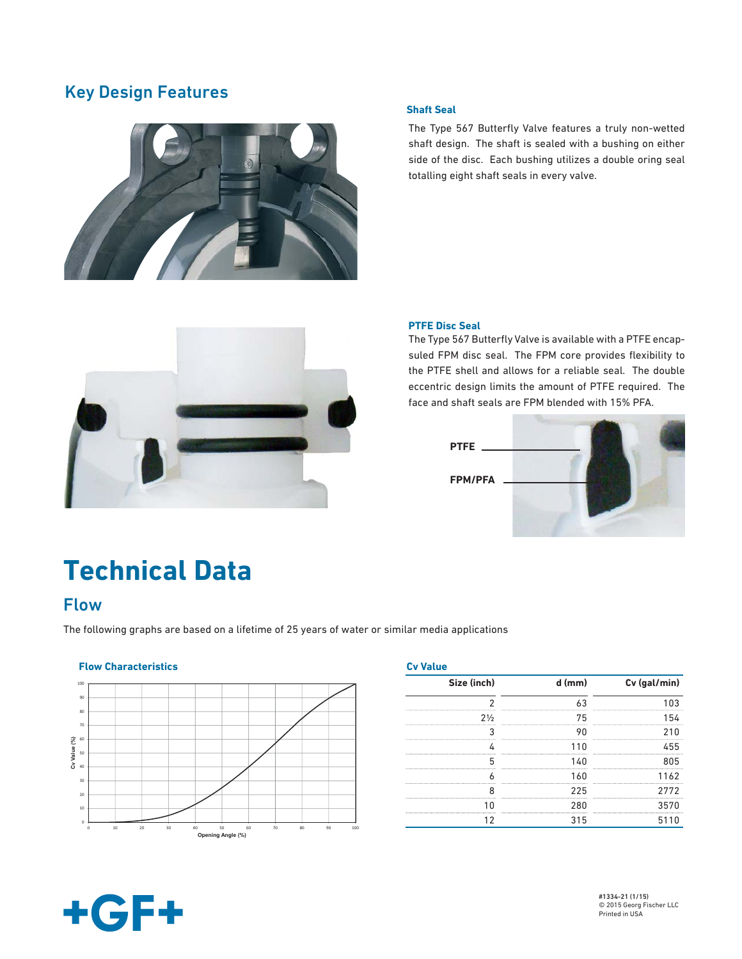# Key Design Features



### **Shaft Seal**

The Type 567 Butterfly Valve features a truly non-wetted shaft design. The shaft is sealed with a bushing on either side of the disc. Each bushing utilizes a double oring seal totalling eight shaft seals in every valve.



### **PTFE Disc Seal**

The Type 567 Butterfly Valve is available with a PTFE encapsuled FPM disc seal. The FPM core provides flexibility to the PTFE shell and allows for a reliable seal. The double eccentric design limits the amount of PTFE required. The face and shaft seals are FPM blended with 15% PFA.



# **Technical Data**

# Flow

The following graphs are based on a lifetime of 25 years of water or similar media applications

### **Flow Characteristics** Cv Value **Cv Value 2012**



| Cv Value       |          |              |  |  |  |  |  |
|----------------|----------|--------------|--|--|--|--|--|
| Size (inch)    | $d$ (mm) | Cv (gal/min) |  |  |  |  |  |
|                |          |              |  |  |  |  |  |
| $2\frac{1}{2}$ | 75       | 154          |  |  |  |  |  |
|                |          |              |  |  |  |  |  |
|                |          | 455          |  |  |  |  |  |
|                | 140      | 8N5          |  |  |  |  |  |
|                | 1 ለበ     | 1162         |  |  |  |  |  |
| o              | 225      | 2772         |  |  |  |  |  |
|                | 280      | 3570         |  |  |  |  |  |
|                | 315      | 5110         |  |  |  |  |  |

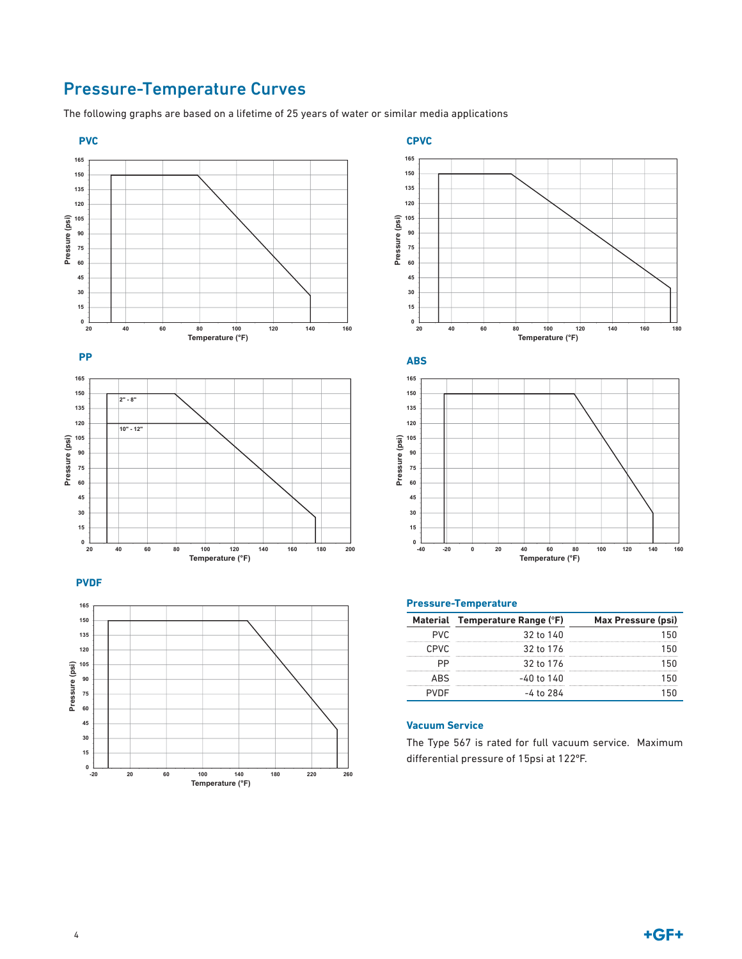# Pressure-Temperature Curves

The following graphs are based on a lifetime of 25 years of water or similar media applications

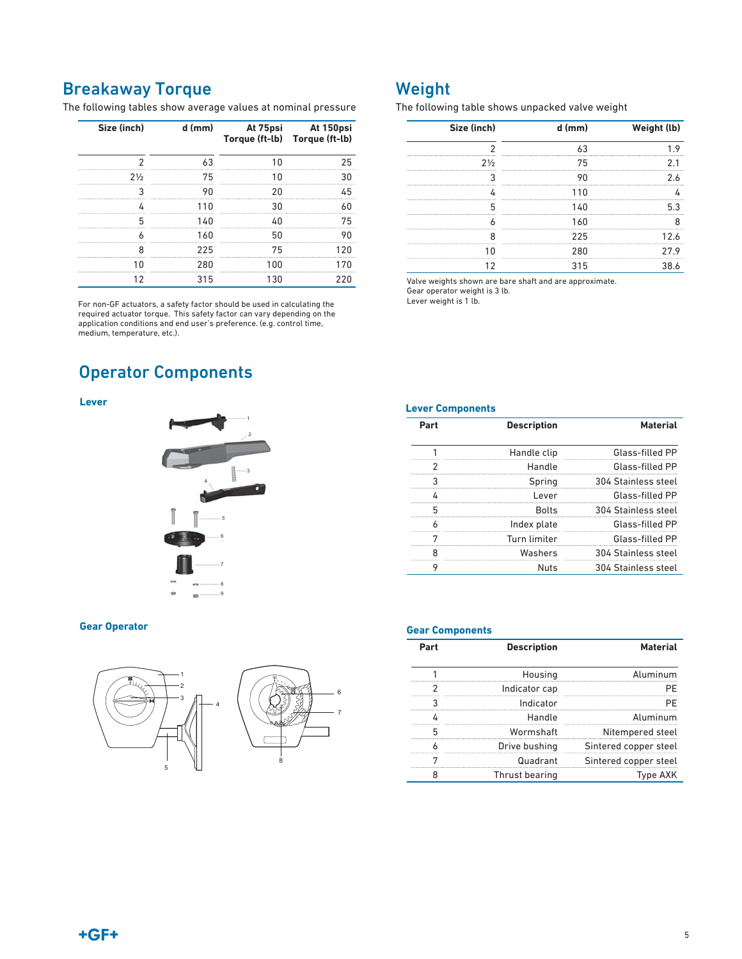# Breakaway Torque

The following tables show average values at nominal pressure

| Size (inch)    | d (mm) | Torque (ft-lb) Torque (ft-lb) | At 75psi At 150psi |
|----------------|--------|-------------------------------|--------------------|
|                |        |                               |                    |
| $2\frac{1}{2}$ | 75     |                               |                    |
|                |        |                               |                    |
|                |        |                               |                    |
|                | 1 4 N  |                               | 75                 |
|                |        |                               |                    |
|                | 225    | 75                            | 12በ                |
|                | 280    |                               |                    |
|                | 315    |                               |                    |

For non-GF actuators, a safety factor should be used in calculating the required actuator torque. This safety factor can vary depending on the application conditions and end user's preference. (e.g. control time, medium, temperature, etc.).

# Operator Components

### **Lever**



### **Gear Operator**



# Weight

The following table shows unpacked valve weight

| Size (inch)    | $d$ (mm) | Weight (lb) |
|----------------|----------|-------------|
|                |          |             |
| $2\frac{1}{2}$ | 75       |             |
|                |          |             |
|                | 11 N     |             |
|                | 1 4 በ    |             |
|                | 160      |             |
|                | 225      | 12 A        |
|                | 280      | 27.9        |
|                | 315      |             |

Valve weights shown are bare shaft and are approximate. Gear operator weight is 3 lb.

Lever weight is 1 lb.

**Lever Components**

| Part | <b>Description</b> | <b>Material</b>     |
|------|--------------------|---------------------|
|      | Handle clip        | Glass-filled PP     |
|      | Handle             | Glass-filled PP     |
|      | Spring             | 304 Stainless steel |
|      | l ever             | Glass-filled PP     |
|      | <b>Rolts</b>       | 304 Stainless steel |
|      | Index plate        | Glass-filled PP     |
|      | Turn limiter       | Glass-filled PP     |
|      | Washers            | 304 Stainless steel |
|      | Nuts               | 304 Stainless steel |

#### **Gear Components**

6 7

| <b>Material</b>       | <b>Description</b> | Part |
|-----------------------|--------------------|------|
| <b>Aluminum</b>       | Housing            |      |
|                       | Indicator cap      |      |
|                       | Indicator          |      |
| Aluminum              | Handle             |      |
| Nitempered steel      | Wormshaft          |      |
| Sintered copper steel | Drive bushing      |      |
| Sintered copper steel | Quadrant           |      |
| Type AXK              | Thrust bearing     |      |